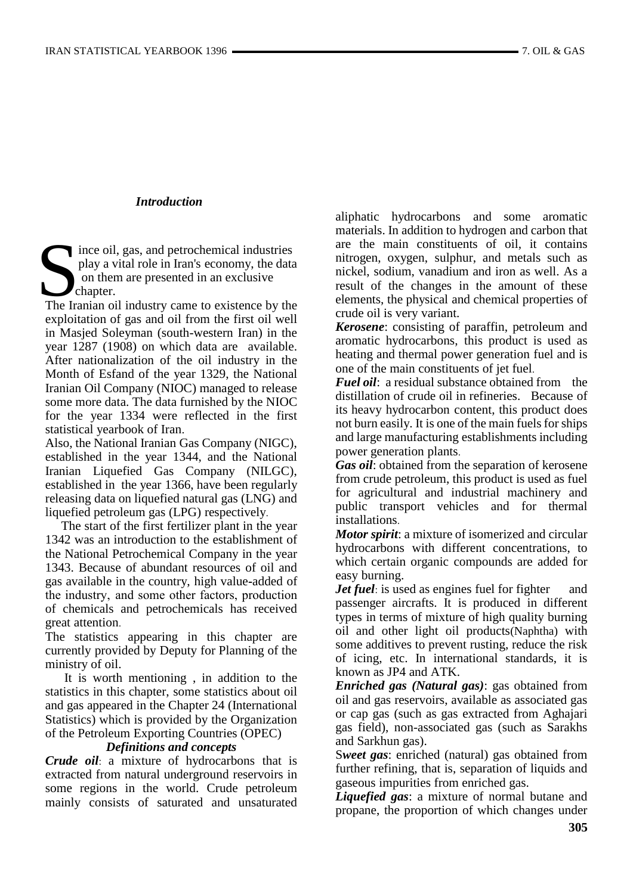# *Introduction*

ince oil, gas, and petrochemical industries play a vital role in Iran's economy, the data on them are presented in an exclusive  $\blacktriangleright$  chapter. The Iranian oil industry came to existence by the United States Chapter.<br>The Iranian oil industry came to existence by the States Chapter.

exploitation of gas and oil from the first oil well in Masjed Soleyman (south-western Iran) in the year 1287 (1908) on which data are available. After nationalization of the oil industry in the Month of Esfand of the year 1329, the National Iranian Oil Company (NIOC) managed to release some more data. The data furnished by the NIOC for the year 1334 were reflected in the first statistical yearbook of Iran.

Also, the National Iranian Gas Company (NIGC), established in the year 1344, and the National Iranian Liquefied Gas Company (NILGC), established in the year 1366, have been regularly releasing data on liquefied natural gas (LNG) and liquefied petroleum gas (LPG) respectively.

 The start of the first fertilizer plant in the year 1342 was an introduction to the establishment of the National Petrochemical Company in the year 1343. Because of abundant resources of oil and gas available in the country, high value**-**added of the industry, and some other factors, production of chemicals and petrochemicals has received great attention.

The statistics appearing in this chapter are currently provided by Deputy for Planning of the ministry of oil.

 It is worth mentioning , in addition to the statistics in this chapter, some statistics about oil and gas appeared in the Chapter 24 (International Statistics) which is provided by the Organization of the Petroleum Exporting Countries (OPEC)

## *Definitions and concepts*

*Crude oil*: a mixture of hydrocarbons that is extracted from natural underground reservoirs in some regions in the world. Crude petroleum mainly consists of saturated and unsaturated aliphatic hydrocarbons and some aromatic materials. In addition to hydrogen and carbon that are the main constituents of oil, it contains nitrogen, oxygen, sulphur, and metals such as nickel, sodium, vanadium and iron as well. As a result of the changes in the amount of these elements, the physical and chemical properties of crude oil is very variant.

*Kerosene*: consisting of paraffin, petroleum and aromatic hydrocarbons, this product is used as heating and thermal power generation fuel and is one of the main constituents of jet fuel.

*Fuel oil*: a residual substance obtained from the distillation of crude oil in refineries. Because of its heavy hydrocarbon content, this product does not burn easily. It is one of the main fuels for ships and large manufacturing establishments including power generation plants.

*Gas oil*: obtained from the separation of kerosene from crude petroleum, this product is used as fuel for agricultural and industrial machinery and public transport vehicles and for thermal installations.

*Motor spirit*: a mixture of isomerized and circular hydrocarbons with different concentrations, to which certain organic compounds are added for easy burning.

*Jet fuel*: is used as engines fuel for fighter and passenger aircrafts. It is produced in different types in terms of mixture of high quality burning oil and other light oil products(Naphtha) with some additives to prevent rusting, reduce the risk of icing, etc. In international standards, it is known as JP4 and ATK.

*Enriched gas (Natural gas)*: gas obtained from oil and gas reservoirs, available as associated gas or cap gas (such as gas extracted from Aghajari gas field), non-associated gas (such as Sarakhs and Sarkhun gas).

S*weet gas*: enriched (natural) gas obtained from further refining, that is, separation of liquids and gaseous impurities from enriched gas.

*Liquefied gas*: a mixture of normal butane and propane, the proportion of which changes under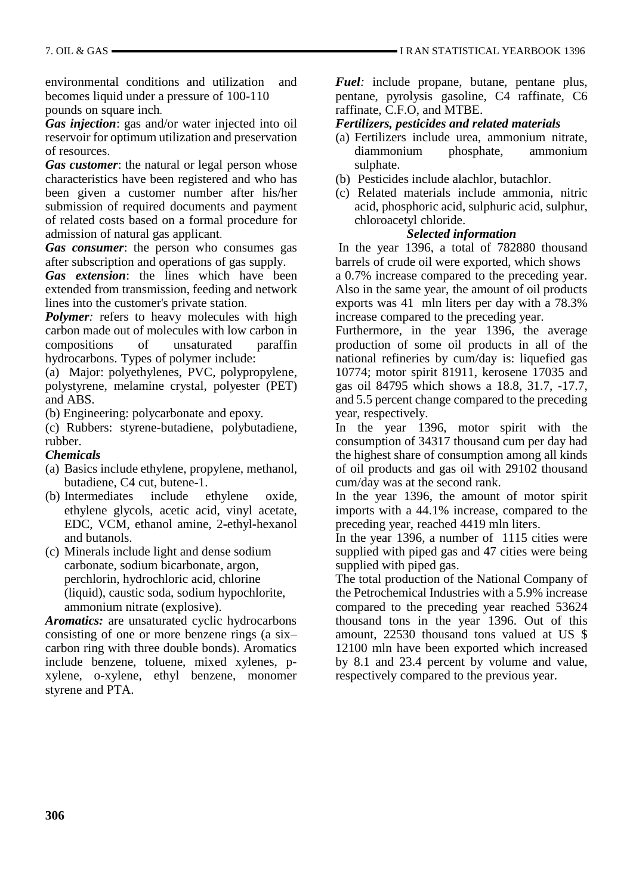environmental conditions and utilization and becomes liquid under a pressure of 100-110 pounds on square inch.

*Gas injection*: gas and/or water injected into oil reservoir for optimum utilization and preservation of resources.

*Gas customer*: the natural or legal person whose characteristics have been registered and who has been given a customer number after his/her submission of required documents and payment of related costs based on a formal procedure for admission of natural gas applicant.

*Gas consumer*: the person who consumes gas after subscription and operations of gas supply.

*Gas extension*: the lines which have been extended from transmission, feeding and network lines into the customer's private station.

*Polymer*: refers to heavy molecules with high carbon made out of molecules with low carbon in compositions of unsaturated paraffin hydrocarbons. Types of polymer include:

(a) Major: polyethylenes, PVC, polypropylene, polystyrene, melamine crystal, polyester (PET) and ABS.

(b) Engineering: polycarbonate and epoxy.

(c) Rubbers: styrene-butadiene, polybutadiene, rubber.

## *Chemicals*

- (a) Basics include ethylene, propylene, methanol, butadiene, C4 cut, butene**-**1.
- (b) Intermediates include ethylene oxide, ethylene glycols, acetic acid, vinyl acetate, EDC, VCM, ethanol amine, 2**-**ethyl**-**hexanol and butanols.
- (c) Minerals include light and dense sodium carbonate, sodium bicarbonate, argon, perchlorin, hydrochloric acid, chlorine (liquid), caustic soda, sodium hypochlorite, ammonium nitrate (explosive).

*Aromatics:* are unsaturated cyclic hydrocarbons consisting of one or more benzene rings (a six– carbon ring with three double bonds). Aromatics include benzene, toluene, mixed xylenes, pxylene, o-xylene, ethyl benzene, monomer styrene and PTA.

*Fuel:* include propane, butane, pentane plus, pentane, pyrolysis gasoline, C4 raffinate, C6 raffinate, C.F.O, and MTBE.

## *Fertilizers, pesticides and related materials*

- (a) Fertilizers include urea, ammonium nitrate, diammonium phosphate, ammonium sulphate.
- (b) Pesticides include alachlor, butachlor.
- (c) Related materials include ammonia, nitric acid, phosphoric acid, sulphuric acid, sulphur, chloroacetyl chloride.

## *Selected information*

In the year 1396, a total of 782880 thousand barrels of crude oil were exported, which shows a 0.7% increase compared to the preceding year. Also in the same year, the amount of oil products exports was 41 mln liters per day with a 78.3% increase compared to the preceding year.

Furthermore, in the year 1396, the average production of some oil products in all of the national refineries by cum/day is: liquefied gas 10774; motor spirit 81911, kerosene 17035 and gas oil 84795 which shows a 18.8, 31.7, -17.7, and 5.5 percent change compared to the preceding year, respectively.

In the year 1396, motor spirit with the consumption of 34317 thousand cum per day had the highest share of consumption among all kinds of oil products and gas oil with 29102 thousand cum/day was at the second rank.

In the year 1396, the amount of motor spirit imports with a 44.1% increase, compared to the preceding year, reached 4419 mln liters.

In the year 1396, a number of 1115 cities were supplied with piped gas and 47 cities were being supplied with piped gas.

The total production of the National Company of the Petrochemical Industries with a 5.9% increase compared to the preceding year reached 53624 thousand tons in the year 1396. Out of this amount, 22530 thousand tons valued at US \$ 12100 mln have been exported which increased by 8.1 and 23.4 percent by volume and value, respectively compared to the previous year.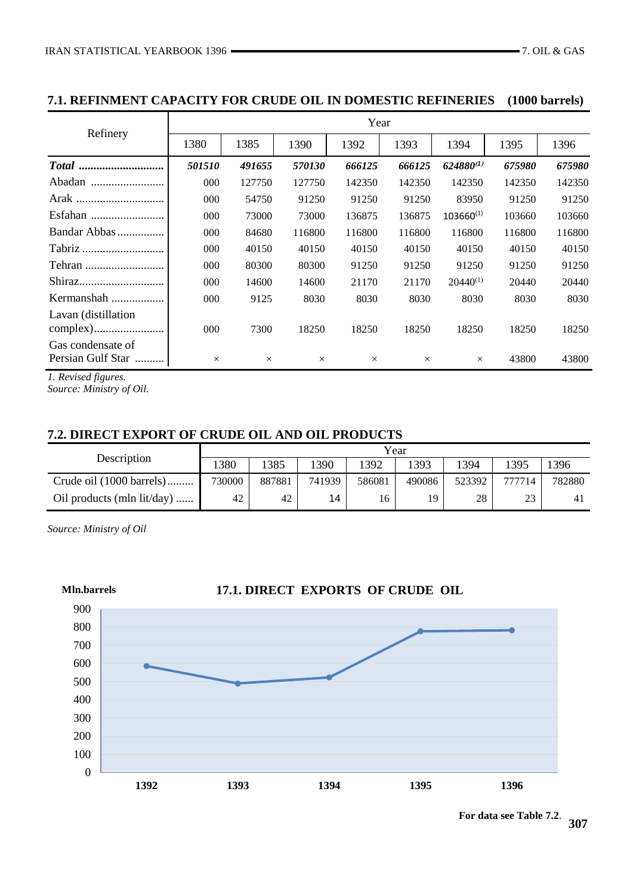# **7.1. REFINMENT CAPACITY FOR CRUDE OIL IN DOMESTIC REFINERIES (1000 barrels)**

|                                        |          | Year     |          |          |          |                |        |        |  |  |  |  |
|----------------------------------------|----------|----------|----------|----------|----------|----------------|--------|--------|--|--|--|--|
| Refinery                               | 1380     | 1385     | 1390     | 1392     | 1393     | 1394           | 1395   | 1396   |  |  |  |  |
|                                        | 501510   | 491655   | 570130   | 666125   | 666125   | $624880^{(1)}$ | 675980 | 675980 |  |  |  |  |
| Abadan                                 | 000      | 127750   | 127750   | 142350   | 142350   | 142350         | 142350 | 142350 |  |  |  |  |
|                                        | 000      | 54750    | 91250    | 91250    | 91250    | 83950          | 91250  | 91250  |  |  |  |  |
|                                        | 000      | 73000    | 73000    | 136875   | 136875   | $103660^{(1)}$ | 103660 | 103660 |  |  |  |  |
| Bandar Abbas                           | 000      | 84680    | 116800   | 116800   | 116800   | 116800         | 116800 | 116800 |  |  |  |  |
|                                        | 000      | 40150    | 40150    | 40150    | 40150    | 40150          | 40150  | 40150  |  |  |  |  |
|                                        | 000      | 80300    | 80300    | 91250    | 91250    | 91250          | 91250  | 91250  |  |  |  |  |
|                                        | 000      | 14600    | 14600    | 21170    | 21170    | $20440^{(1)}$  | 20440  | 20440  |  |  |  |  |
| Kermanshah                             | 000      | 9125     | 8030     | 8030     | 8030     | 8030           | 8030   | 8030   |  |  |  |  |
| Lavan (distillation)                   | 000      | 7300     | 18250    | 18250    | 18250    | 18250          | 18250  | 18250  |  |  |  |  |
| Gas condensate of<br>Persian Gulf Star | $\times$ | $\times$ | $\times$ | $\times$ | $\times$ | $\times$       | 43800  | 43800  |  |  |  |  |

*1. Revised figures.*

*Source: Ministry of Oil.*

# **7.2. DIRECT EXPORT OF CRUDE OIL AND OIL PRODUCTS**

|                            | Year   |        |        |        |        |        |        |        |  |  |
|----------------------------|--------|--------|--------|--------|--------|--------|--------|--------|--|--|
| Description                | 380    | 1385   | 1390   | 1392   | 393    | 1394   | 1395   | 1396   |  |  |
| Crude oil (1000 barrels)   | 730000 | 887881 | 741939 | 586081 | 490086 | 523392 | 777714 | 782880 |  |  |
| Oil products (mln lit/day) | 42     | 42     | 14     | 16     | 19     | 28     | 23     | 41     |  |  |

*Source: Ministry of Oil*



**For data see Table 7.2**.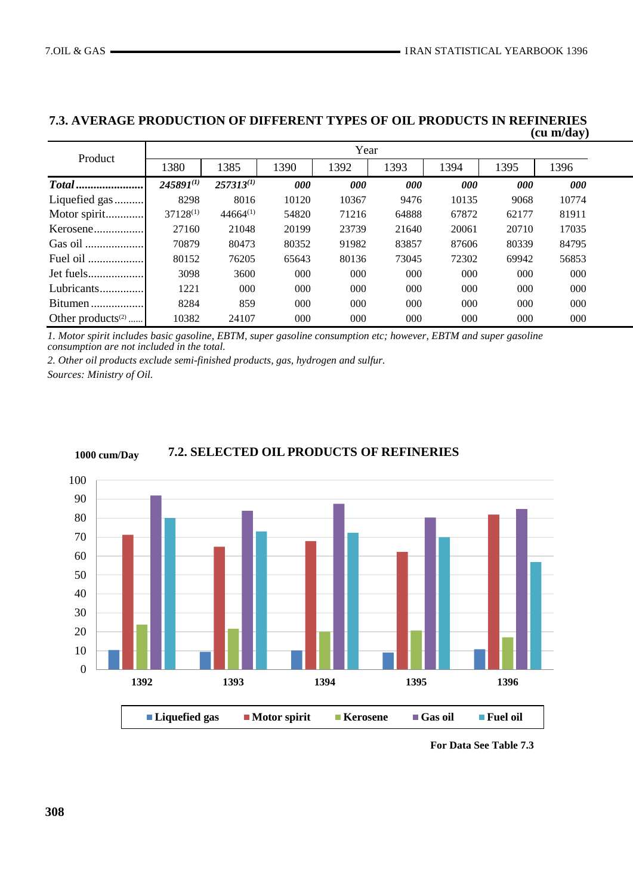| Product              |                | Year           |       |       |       |       |       |       |  |  |  |
|----------------------|----------------|----------------|-------|-------|-------|-------|-------|-------|--|--|--|
|                      | 1380           | 1385           | 1390  | 1392  | 1393  | 1394  | 1395  | 1396  |  |  |  |
|                      | $245891^{(1)}$ | $257313^{(1)}$ | 000   | 000   | 000   | 000   | 000   | 000   |  |  |  |
| Liquefied gas        | 8298           | 8016           | 10120 | 10367 | 9476  | 10135 | 9068  | 10774 |  |  |  |
| Motor spirit         | $37128^{(1)}$  | $44664^{(1)}$  | 54820 | 71216 | 64888 | 67872 | 62177 | 81911 |  |  |  |
| Kerosene             | 27160          | 21048          | 20199 | 23739 | 21640 | 20061 | 20710 | 17035 |  |  |  |
|                      | 70879          | 80473          | 80352 | 91982 | 83857 | 87606 | 80339 | 84795 |  |  |  |
| Fuel oil             | 80152          | 76205          | 65643 | 80136 | 73045 | 72302 | 69942 | 56853 |  |  |  |
| Jet fuels            | 3098           | 3600           | 000   | 000   | 000   | 000   | 000   | 000   |  |  |  |
| Lubricants           | 1221           | 000            | 000   | 000   | 000   | 000   | 000   | 000   |  |  |  |
| Bitumen              | 8284           | 859            | 000   | 000   | 000   | 000   | 000   | 000   |  |  |  |
| Other products $(2)$ | 10382          | 24107          | 000   | 000   | 000   | 000   | 000   | 000   |  |  |  |

#### **7.3. AVERAGE PRODUCTION OF DIFFERENT TYPES OF OIL PRODUCTS IN REFINERIES (cu m/day)**

*1. Motor spirit includes basic gasoline, EBTM, super gasoline consumption etc; however, EBTM and super gasoline consumption are not included in the total.* 

*2. Other oil products exclude semi-finished products, gas, hydrogen and sulfur.*

*Sources: Ministry of Oil.*



#### **7.2. SELECTED OIL PRODUCTS OF REFINERIES 1000 cum/Day**

**For Data See Table 7.3**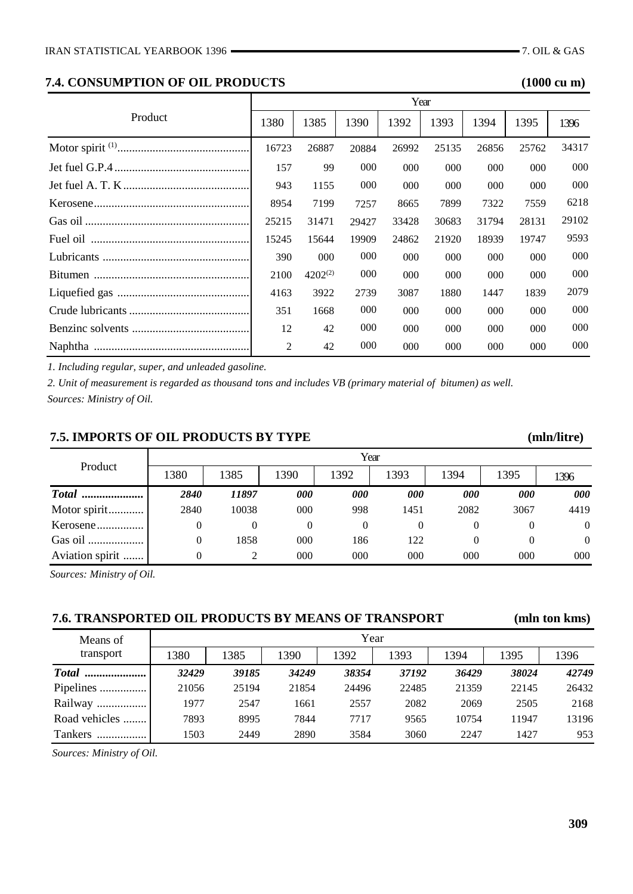# **7.4. CONSUMPTION OF OIL PRODUCTS (1000 cu m)**

|         |       |              |       | Year     |       |       |       |       |
|---------|-------|--------------|-------|----------|-------|-------|-------|-------|
| Product | 1380  | 1385         | 1390  | 1392     | 1393  | 1394  | 1395  | 1396  |
|         | 16723 | 26887        | 20884 | 26992    | 25135 | 26856 | 25762 | 34317 |
|         | 157   | 99           | 000   | 000      | 000   | 000   | 000   | 000   |
|         | 943   | 1155         | 000   | 000      | 000   | 000   | 000   | 000   |
|         | 8954  | 7199         | 7257  | 8665     | 7899  | 7322  | 7559  | 6218  |
|         | 25215 | 31471        | 29427 | 33428    | 30683 | 31794 | 28131 | 29102 |
|         | 15245 | 15644        | 19909 | 24862    | 21920 | 18939 | 19747 | 9593  |
|         | 390   | 000          | 000   | 000      | 000   | 000   | 000   | 000   |
|         | 2100  | $4202^{(2)}$ | 000   | $000 \,$ | 000   | 000   | 000   | 000   |
|         | 4163  | 3922         | 2739  | 3087     | 1880  | 1447  | 1839  | 2079  |
|         | 351   | 1668         | 000   | 000      | 000   | 000   | 000   | 000   |
|         | 12    | 42           | 000   | $000 \,$ | 000   | 000   | 000   | 000   |
|         | 2     | 42           | 000   | 000      | 000   | 000   | 000   | 000   |

*1. Including regular, super, and unleaded gasoline.*

*2. Unit of measurement is regarded as thousand tons and includes VB (primary material of bitumen) as well. Sources: Ministry of Oil.*

# **7.5. IMPORTS OF OIL PRODUCTS BY TYPE (mln/litre)**

| Product         |          | Year  |          |            |            |      |            |                |  |  |  |  |
|-----------------|----------|-------|----------|------------|------------|------|------------|----------------|--|--|--|--|
|                 | 1380     | 1385  | 1390     | 1392       | 1393       | 1394 | 1395       | 1396           |  |  |  |  |
| <b>Total</b>    | 2840     | 11897 | 000      | <i>000</i> | <i>000</i> | 000  | <i>000</i> | 000            |  |  |  |  |
| Motor spirit    | 2840     | 10038 | 000      | 998        | 1451       | 2082 | 3067       | 4419           |  |  |  |  |
| Kerosene        | $\theta$ | 0     | $^{(1)}$ | $\theta$   |            |      | $\theta$   | $\theta$       |  |  |  |  |
| Gas oil         | $\theta$ | 1858  | 000      | 186        | 122        |      | 0          | $\overline{0}$ |  |  |  |  |
| Aviation spirit | 0        | 2     | 000      | 000        | 000        | 000  | 000        | 000            |  |  |  |  |

*Sources: Ministry of Oil.*

## **7.6. TRANSPORTED OIL PRODUCTS BY MEANS OF TRANSPORT (mln ton kms)**

| Means of      | Year  |       |       |       |       |       |       |       |  |  |  |
|---------------|-------|-------|-------|-------|-------|-------|-------|-------|--|--|--|
| transport     | 1380  | 1385  | 1390  | 1392  | 1393  | 1394  | 1395  | 1396  |  |  |  |
| <b>Total</b>  | 32429 | 39185 | 34249 | 38354 | 37192 | 36429 | 38024 | 42749 |  |  |  |
| Pipelines     | 21056 | 25194 | 21854 | 24496 | 22485 | 21359 | 22145 | 26432 |  |  |  |
| Railway       | 1977  | 2547  | 1661  | 2557  | 2082  | 2069  | 2505  | 2168  |  |  |  |
| Road vehicles | 7893  | 8995  | 7844  | 7717  | 9565  | 10754 | 11947 | 13196 |  |  |  |
| Tankers       | 1503  | 2449  | 2890  | 3584  | 3060  | 2247  | 1427  | 953   |  |  |  |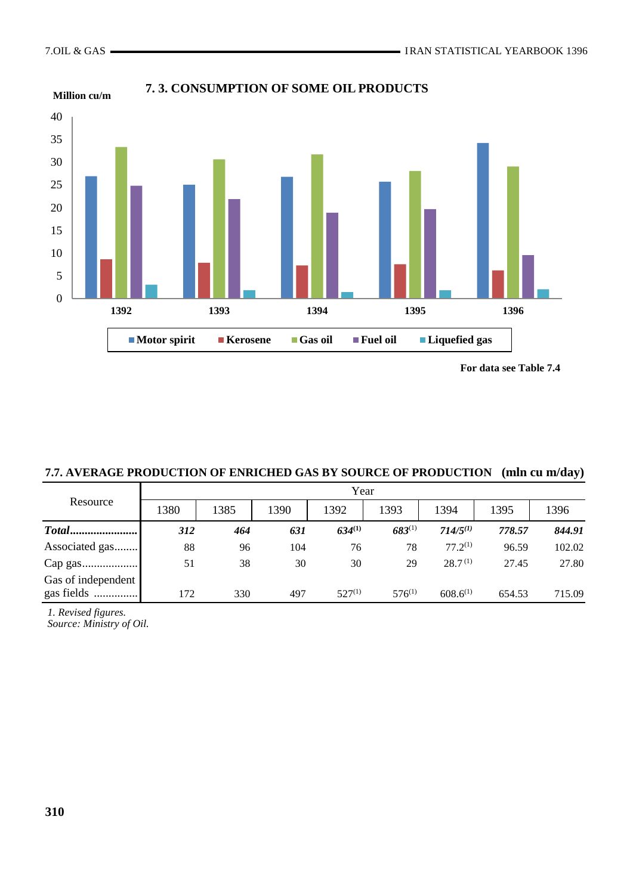

**7. 3. CONSUMPTION OF SOME OIL PRODUCTS**



| 7.7. AVERAGE PRODUCTION OF ENRICHED GAS BY SOURCE OF PRODUCTION (mln cu m/day) |  |  |
|--------------------------------------------------------------------------------|--|--|
|--------------------------------------------------------------------------------|--|--|

|                    | Year |      |      |             |             |                     |        |        |  |  |  |
|--------------------|------|------|------|-------------|-------------|---------------------|--------|--------|--|--|--|
| Resource           | 1380 | 1385 | 1390 | 1392        | 1393        | 1394                | 1395   | 1396   |  |  |  |
| Total              | 312  | 464  | 631  | $634^{(1)}$ | $683^{(1)}$ | $714/5^{(1)}$       | 778.57 | 844.91 |  |  |  |
| Associated gas     | 88   | 96   | 104  | 76          | 78          | $77.2^{(1)}$        | 96.59  | 102.02 |  |  |  |
| Cap gas            | 51   | 38   | 30   | 30          | 29          | 28.7 <sup>(1)</sup> | 27.45  | 27.80  |  |  |  |
| Gas of independent |      |      |      |             |             |                     |        |        |  |  |  |
| gas fields         | 172  | 330  | 497  | $527^{(1)}$ | $576^{(1)}$ | $608.6^{(1)}$       | 654.53 | 715.09 |  |  |  |

*1. Revised figures.*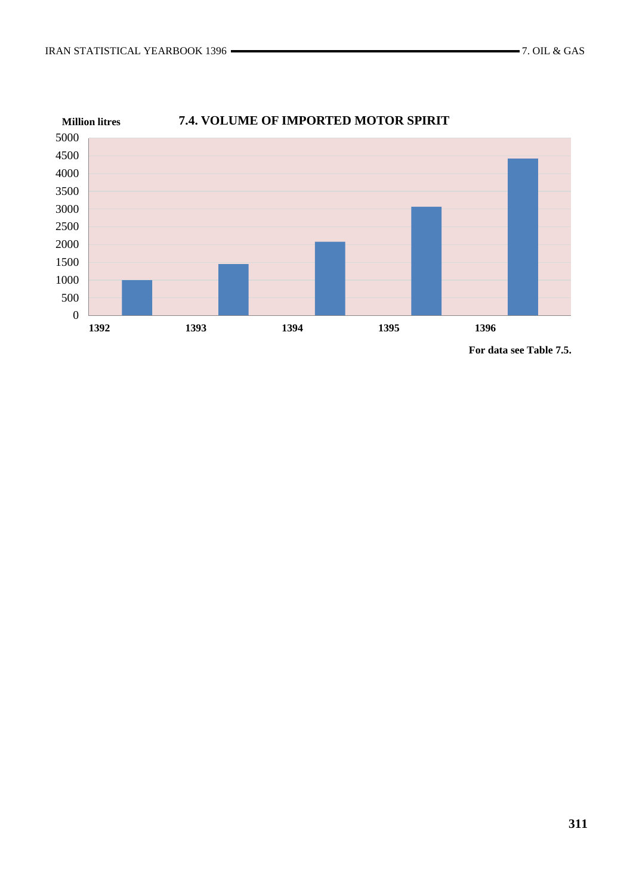

**For data see Table 7.5.**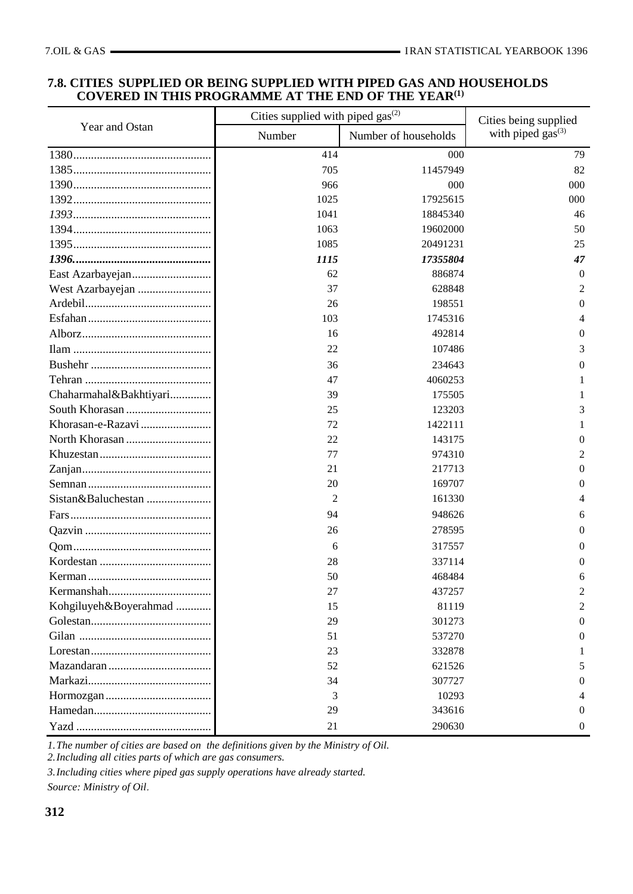#### **7.8. CITIES SUPPLIED OR BEING SUPPLIED WITH PIPED GAS AND HOUSEHOLDS COVERED IN THIS PROGRAMME AT THE END OF THE YEAR(1)**

|                        | Cities supplied with piped gas <sup>(2)</sup> |                      | Cities being supplied  |  |
|------------------------|-----------------------------------------------|----------------------|------------------------|--|
| Year and Ostan         | Number                                        | Number of households | with piped $gas^{(3)}$ |  |
|                        | 414                                           | 000                  | 79                     |  |
|                        | 705                                           | 11457949             | 82                     |  |
|                        | 966                                           | 000                  | 000                    |  |
|                        | 1025                                          | 17925615             | 000                    |  |
|                        | 1041                                          | 18845340             | 46                     |  |
|                        | 1063                                          | 19602000             | 50                     |  |
|                        | 1085                                          | 20491231             | 25                     |  |
|                        | 1115                                          | 17355804             | 47                     |  |
|                        | 62                                            | 886874               | $\theta$               |  |
| West Azarbayejan       | 37                                            | 628848               | 2                      |  |
|                        | 26                                            | 198551               | $\theta$               |  |
|                        | 103                                           | 1745316              | 4                      |  |
|                        | 16                                            | 492814               | $\theta$               |  |
|                        | 22                                            | 107486               | 3                      |  |
|                        | 36                                            | 234643               | 0                      |  |
|                        | 47                                            | 4060253              |                        |  |
| Chaharmahal&Bakhtiyari | 39                                            | 175505               | 1                      |  |
|                        | 25                                            | 123203               | 3                      |  |
| Khorasan-e-Razavi      | 72                                            | 1422111              | 1                      |  |
|                        | 22                                            | 143175               | $\Omega$               |  |
|                        | 77                                            | 974310               | 2                      |  |
|                        | 21                                            | 217713               | $\overline{0}$         |  |
|                        | 20                                            | 169707               | $\Omega$               |  |
| Sistan&Baluchestan     | 2                                             | 161330               | 4                      |  |
|                        | 94                                            | 948626               | 6                      |  |
|                        | 26                                            | 278595               | $\Omega$               |  |
|                        | 6                                             | 317557               | $\theta$               |  |
|                        | 28                                            | 337114               | $\theta$               |  |
|                        | 50                                            | 468484               | 6                      |  |
|                        | 27                                            | 437257               | 2                      |  |
| Kohgiluyeh&Boyerahmad  | 15                                            | 81119                | 2                      |  |
|                        | 29                                            | 301273               | $\theta$               |  |
|                        | 51                                            | 537270               | $\Omega$               |  |
|                        | 23                                            | 332878               |                        |  |
|                        | 52                                            | 621526               | 5                      |  |
|                        | 34                                            | 307727               | $\Omega$               |  |
|                        | 3                                             | 10293                | 4                      |  |
|                        | 29                                            | 343616               | $\Omega$               |  |
|                        | 21                                            | 290630               | $\Omega$               |  |

*1.The number of cities are based on the definitions given by the Ministry of Oil.*

*2.Including all cities parts of which are gas consumers.*

*3.Including cities where piped gas supply operations have already started.*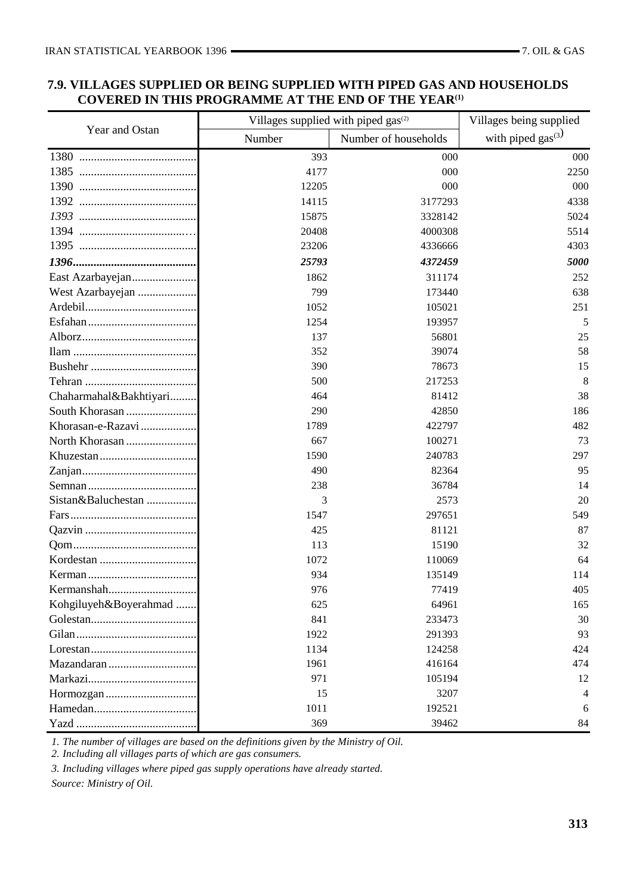# **7.9. VILLAGES SUPPLIED OR BEING SUPPLIED WITH PIPED GAS AND HOUSEHOLDS COVERED IN THIS PROGRAMME AT THE END OF THE YEAR(1)**

|                                                                             | Villages supplied with piped gas <sup>(2)</sup> |                      | Villages being supplied |  |
|-----------------------------------------------------------------------------|-------------------------------------------------|----------------------|-------------------------|--|
| Year and Ostan                                                              | Number                                          | Number of households | with piped $gas^{(3)}$  |  |
|                                                                             | 393                                             | 000                  | 000                     |  |
|                                                                             | 4177                                            | 000                  | 2250                    |  |
| 1390                                                                        | 12205                                           | 000                  | 000                     |  |
|                                                                             | 14115                                           | 3177293              | 4338                    |  |
|                                                                             | 15875                                           | 3328142              | 5024                    |  |
|                                                                             | 20408                                           | 4000308              | 5514                    |  |
|                                                                             | 23206                                           | 4336666              | 4303                    |  |
|                                                                             | 25793                                           | 4372459              | 5000                    |  |
| East Azarbayejan                                                            | 1862                                            | 311174               | 252                     |  |
| West Azarbayejan                                                            | 799                                             | 173440               | 638                     |  |
|                                                                             | 1052                                            | 105021               | 251                     |  |
|                                                                             | 1254                                            | 193957               | 5                       |  |
|                                                                             | 137                                             | 56801                | 25                      |  |
|                                                                             | 352                                             | 39074                | 58                      |  |
|                                                                             | 390                                             | 78673                | 15                      |  |
|                                                                             | 500                                             | 217253               | 8                       |  |
| Chaharmahal&Bakhtiyari                                                      | 464                                             | 81412                | 38                      |  |
|                                                                             | 290                                             | 42850                | 186                     |  |
| Khorasan-e-Razavi                                                           | 1789                                            | 422797               | 482                     |  |
| North Khorasan                                                              | 667                                             | 100271               | 73                      |  |
|                                                                             | 1590                                            | 240783               | 297                     |  |
|                                                                             | 490                                             | 82364                | 95                      |  |
|                                                                             | 238                                             | 36784                | 14                      |  |
| Sistan&Baluchestan                                                          | 3                                               | 2573                 | 20                      |  |
|                                                                             | 1547                                            | 297651               | 549                     |  |
|                                                                             | 425                                             | 81121                | 87                      |  |
|                                                                             | 113                                             | 15190                | 32                      |  |
|                                                                             | 1072                                            | 110069               | 64                      |  |
|                                                                             | 934                                             | 135149               | 114                     |  |
|                                                                             | 976                                             | 77419                | 405                     |  |
| Kohgiluyeh&Boyerahmad                                                       | 625                                             | 64961                | 165                     |  |
|                                                                             | 841                                             | 233473               | 30                      |  |
|                                                                             | 1922                                            | 291393               | 93                      |  |
| $Lores \tan \ldots \ldots \ldots \ldots \ldots \ldots \ldots \ldots \ldots$ | 1134                                            | 124258               | 424                     |  |
|                                                                             | 1961                                            | 416164               | 474                     |  |
|                                                                             | 971                                             | 105194               | 12                      |  |
|                                                                             | 15                                              | 3207                 | 4                       |  |
|                                                                             | 1011                                            | 192521               | 6                       |  |
|                                                                             | 369                                             | 39462                | 84                      |  |

*1. The number of villages are based on the definitions given by the Ministry of Oil.*

*2. Including all villages parts of which are gas consumers.*

*3. Including villages where piped gas supply operations have already started.*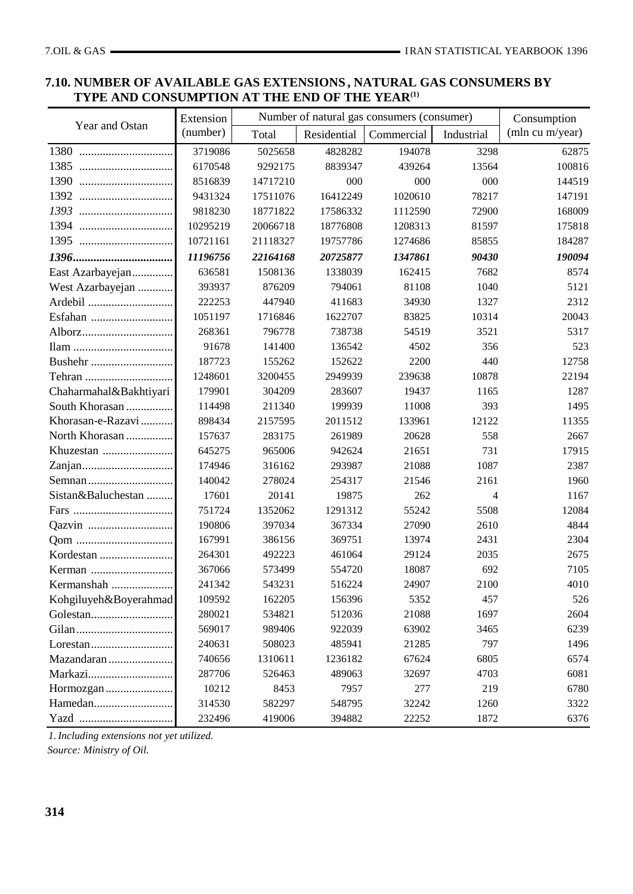# **7.10. NUMBER OF AVAILABLE GAS EXTENSIONS , NATURAL GAS CONSUMERS BY TYPE AND CONSUMPTION AT THE END OF THE YEAR(1)**

|                        | Extension |          |             | Number of natural gas consumers (consumer) |            | Consumption     |
|------------------------|-----------|----------|-------------|--------------------------------------------|------------|-----------------|
| Year and Ostan         | (number)  | Total    | Residential | Commercial                                 | Industrial | (mln cu m/year) |
| 1380                   | 3719086   | 5025658  | 4828282     | 194078                                     | 3298       | 62875           |
| 1385                   | 6170548   | 9292175  | 8839347     | 439264                                     | 13564      | 100816          |
| 1390<br>               | 8516839   | 14717210 | 000         | 000                                        | 000        | 144519          |
| 1392                   | 9431324   | 17511076 | 16412249    | 1020610                                    | 78217      | 147191          |
| 1393                   | 9818230   | 18771822 | 17586332    | 1112590                                    | 72900      | 168009          |
| 1394                   | 10295219  | 20066718 | 18776808    | 1208313                                    | 81597      | 175818          |
| 1395                   | 10721161  | 21118327 | 19757786    | 1274686                                    | 85855      | 184287          |
|                        | 11196756  | 22164168 | 20725877    | 1347861                                    | 90430      | 190094          |
| East Azarbayejan       | 636581    | 1508136  | 1338039     | 162415                                     | 7682       | 8574            |
| West Azarbayejan       | 393937    | 876209   | 794061      | 81108                                      | 1040       | 5121            |
| Ardebil                | 222253    | 447940   | 411683      | 34930                                      | 1327       | 2312            |
|                        | 1051197   | 1716846  | 1622707     | 83825                                      | 10314      | 20043           |
| Alborz                 | 268361    | 796778   | 738738      | 54519                                      | 3521       | 5317            |
|                        | 91678     | 141400   | 136542      | 4502                                       | 356        | 523             |
|                        | 187723    | 155262   | 152622      | 2200                                       | 440        | 12758           |
|                        | 1248601   | 3200455  | 2949939     | 239638                                     | 10878      | 22194           |
| Chaharmahal&Bakhtiyari | 179901    | 304209   | 283607      | 19437                                      | 1165       | 1287            |
| South Khorasan         | 114498    | 211340   | 199939      | 11008                                      | 393        | 1495            |
| Khorasan-e-Razavi      | 898434    | 2157595  | 2011512     | 133961                                     | 12122      | 11355           |
| North Khorasan         | 157637    | 283175   | 261989      | 20628                                      | 558        | 2667            |
|                        | 645275    | 965006   | 942624      | 21651                                      | 731        | 17915           |
|                        | 174946    | 316162   | 293987      | 21088                                      | 1087       | 2387            |
|                        | 140042    | 278024   | 254317      | 21546                                      | 2161       | 1960            |
| Sistan&Baluchestan     | 17601     | 20141    | 19875       | 262                                        | 4          | 1167            |
|                        | 751724    | 1352062  | 1291312     | 55242                                      | 5508       | 12084           |
|                        | 190806    | 397034   | 367334      | 27090                                      | 2610       | 4844            |
|                        | 167991    | 386156   | 369751      | 13974                                      | 2431       | 2304            |
|                        | 264301    | 492223   | 461064      | 29124                                      | 2035       | 2675            |
|                        | 367066    | 573499   | 554720      | 18087                                      | 692        | 7105            |
| Kermanshah             | 241342    | 543231   | 516224      | 24907                                      | 2100       | 4010            |
| Kohgiluyeh&Boyerahmad  | 109592    | 162205   | 156396      | 5352                                       | 457        | 526             |
|                        | 280021    | 534821   | 512036      | 21088                                      | 1697       | 2604            |
|                        | 569017    | 989406   | 922039      | 63902                                      | 3465       | 6239            |
|                        | 240631    | 508023   | 485941      | 21285                                      | 797        | 1496            |
| Mazandaran             | 740656    | 1310611  | 1236182     | 67624                                      | 6805       | 6574            |
| Markazi                | 287706    | 526463   | 489063      | 32697                                      | 4703       | 6081            |
| Hormozgan              | 10212     | 8453     | 7957        | 277                                        | 219        | 6780            |
| Hamedan                | 314530    | 582297   | 548795      | 32242                                      | 1260       | 3322            |
|                        | 232496    | 419006   | 394882      | 22252                                      | 1872       | 6376            |

*1.Including extensions not yet utilized. Source: Ministry of Oil.*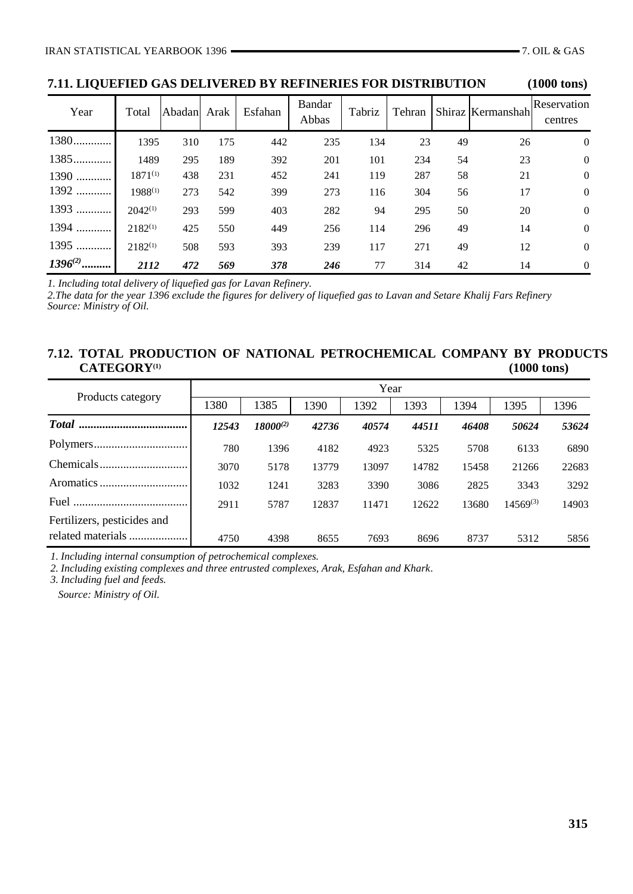**7.11. LIQUEFIED GAS DELIVERED BY REFINERIES FOR DISTRIBUTION (1000 tons)**

| Year         | Total        | Abadan Arak |     | Esfahan | <b>Bandar</b><br>Abbas | Tabriz | Tehran |    | Shiraz Kermanshah | Reservation<br>centres |
|--------------|--------------|-------------|-----|---------|------------------------|--------|--------|----|-------------------|------------------------|
| 1380         | 1395         | 310         | 175 | 442     | 235                    | 134    | 23     | 49 | 26                | $\overline{0}$         |
| 1385         | 1489         | 295         | 189 | 392     | 201                    | 101    | 234    | 54 | 23                | $\theta$               |
| 1390         | $1871^{(1)}$ | 438         | 231 | 452     | 241                    | 119    | 287    | 58 | 21                | $\theta$               |
| 1392         | 1988(1)      | 273         | 542 | 399     | 273                    | 116    | 304    | 56 | 17                | $\overline{0}$         |
| 1393         | $2042^{(1)}$ | 293         | 599 | 403     | 282                    | 94     | 295    | 50 | 20                | $\overline{0}$         |
| 1394         | $2182^{(1)}$ | 425         | 550 | 449     | 256                    | 114    | 296    | 49 | 14                | $\overline{0}$         |
| 1395         | $2182^{(1)}$ | 508         | 593 | 393     | 239                    | 117    | 271    | 49 | 12                | $\overline{0}$         |
| $1396^{(2)}$ | 2112         | 472         | 569 | 378     | 246                    | 77     | 314    | 42 | 14                | $\theta$               |

*1. Including total delivery of liquefied gas for Lavan Refinery.*

*2.The data for the year 1396 exclude the figures for delivery of liquefied gas to Lavan and Setare Khalij Fars Refinery Source: Ministry of Oil.*

#### **7.12. TOTAL PRODUCTION OF NATIONAL PETROCHEMICAL COMPANY BY PRODUCTS CATEGORY(1) (1000 tons)**

| Products category                                | Year  |               |       |       |       |       |               |       |  |
|--------------------------------------------------|-------|---------------|-------|-------|-------|-------|---------------|-------|--|
|                                                  | 1380  | 1385          | 1390  | 1392  | 1393  | 1394  | 1395          | 1396  |  |
| <b>Total</b><br>                                 | 12543 | $18000^{(2)}$ | 42736 | 40574 | 44511 | 46408 | 50624         | 53624 |  |
|                                                  | 780   | 1396          | 4182  | 4923  | 5325  | 5708  | 6133          | 6890  |  |
|                                                  | 3070  | 5178          | 13779 | 13097 | 14782 | 15458 | 21266         | 22683 |  |
|                                                  | 1032  | 1241          | 3283  | 3390  | 3086  | 2825  | 3343          | 3292  |  |
| Fuel                                             | 2911  | 5787          | 12837 | 11471 | 12622 | 13680 | $14569^{(3)}$ | 14903 |  |
| Fertilizers, pesticides and<br>related materials | 4750  | 4398          | 8655  | 7693  | 8696  | 8737  | 5312          | 5856  |  |

*1. Including internal consumption of petrochemical complexes.*

*2. Including existing complexes and three entrusted complexes, Arak, Esfahan and Khark.*

*3. Including fuel and feeds.*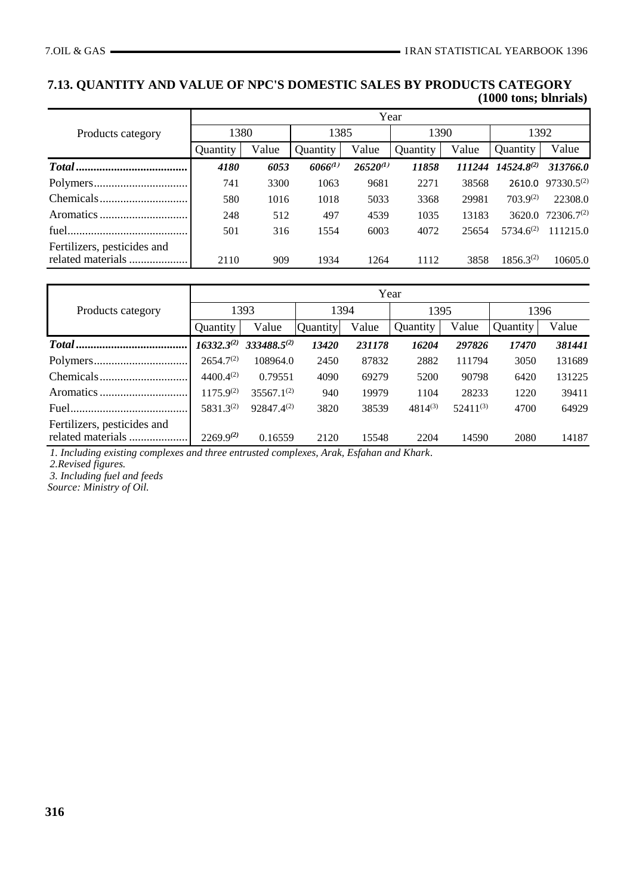# **7.13. QUANTITY AND VALUE OF NPC'S DOMESTIC SALES BY PRODUCTS CATEGORY (1000 tons; blnrials)**

|                                                  | Year     |       |              |               |          |        |                 |                 |  |
|--------------------------------------------------|----------|-------|--------------|---------------|----------|--------|-----------------|-----------------|--|
| Products category                                | 1380     |       | 1385         |               | 1390     |        | 1392            |                 |  |
|                                                  | Quantity | Value | Quantity     | Value         | Quantity | Value  | Quantity        | Value           |  |
|                                                  | 4180     | 6053  | $6066^{(1)}$ | $26520^{(1)}$ | 11858    | 111244 | $14524.8^{(2)}$ | 313766.0        |  |
|                                                  | 741      | 3300  | 1063         | 9681          | 2271     | 38568  | 2610.0          | $97330.5^{(2)}$ |  |
|                                                  | 580      | 1016  | 1018         | 5033          | 3368     | 29981  | $703.9^{(2)}$   | 22308.0         |  |
|                                                  | 248      | 512   | 497          | 4539          | 1035     | 13183  | 3620.0          | $72306.7^{(2)}$ |  |
|                                                  | 501      | 316   | 1554         | 6003          | 4072     | 25654  | $5734.6^{(2)}$  | 111215.0        |  |
| Fertilizers, pesticides and<br>related materials | 2110     | 909   | 1934         | 1264          | 1112     | 3858   | $1856.3^{(2)}$  | 10605.0         |  |

|                             | Year            |                  |          |        |              |               |          |        |  |
|-----------------------------|-----------------|------------------|----------|--------|--------------|---------------|----------|--------|--|
| Products category           | 1393            |                  | 1394     |        | 1395         |               | 1396     |        |  |
|                             | Quantity        | Value            | Quantity | Value  | Quantity     | Value         | Quantity | Value  |  |
|                             | $16332.3^{(2)}$ | $333488.5^{(2)}$ | 13420    | 231178 | 16204        | 297826        | 17470    | 381441 |  |
|                             | $2654.7^{(2)}$  | 108964.0         | 2450     | 87832  | 2882         | 111794        | 3050     | 131689 |  |
|                             | $4400.4^{(2)}$  | 0.79551          | 4090     | 69279  | 5200         | 90798         | 6420     | 131225 |  |
|                             | $1175.9^{(2)}$  | $35567.1^{(2)}$  | 940      | 19979  | 1104         | 28233         | 1220     | 39411  |  |
| Fuel.                       | 5831.3(2)       | $92847.4^{(2)}$  | 3820     | 38539  | $4814^{(3)}$ | $52411^{(3)}$ | 4700     | 64929  |  |
| Fertilizers, pesticides and | $2269.9^{(2)}$  | 0.16559          | 2120     | 15548  | 2204         | 14590         | 2080     | 14187  |  |

*1. Including existing complexes and three entrusted complexes, Arak, Esfahan and Khark.*

*2.Revised figures.*

*3. Including fuel and feeds*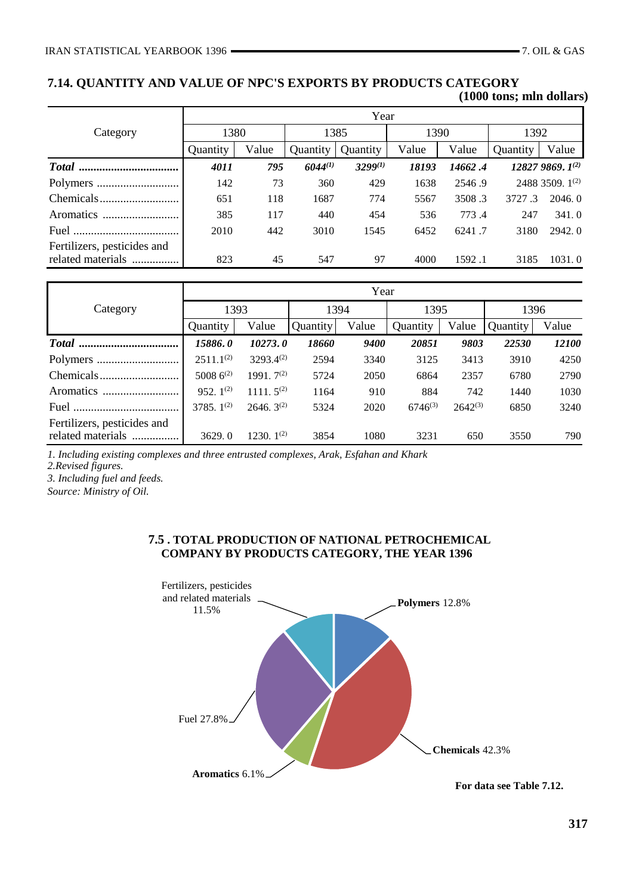## **7.14. QUANTITY AND VALUE OF NPC'S EXPORTS BY PRODUCTS CATEGORY (1000 tons; mln dollars)**

|                                                  | Year     |       |              |              |       |         |          |                      |  |
|--------------------------------------------------|----------|-------|--------------|--------------|-------|---------|----------|----------------------|--|
| Category                                         | 1380     |       | 1385         |              | 1390  |         | 1392     |                      |  |
|                                                  | Quantity | Value | Quantity     | Quantity     | Value | Value   | Ouantity | Value                |  |
|                                                  | 4011     | 795   | $6044^{(1)}$ | $3299^{(1)}$ | 18193 | 14662.4 |          | $128279869.1^{(2)}$  |  |
|                                                  | 142      | 73    | 360          | 429          | 1638  | 2546.9  |          | 2488 3509. $1^{(2)}$ |  |
|                                                  | 651      | 118   | 1687         | 774          | 5567  | 3508.3  | 3727.3   | 2046.0               |  |
| <b>Aromatics</b>                                 | 385      | 117   | 440          | 454          | 536   | 773.4   | 247      | 341.0                |  |
|                                                  | 2010     | 442   | 3010         | 1545         | 6452  | 6241.7  | 3180     | 2942.0               |  |
| Fertilizers, pesticides and<br>related materials | 823      | 45    | 547          | 97           | 4000  | 1592.1  | 3185     | 1031.0               |  |

|                                                  | Year            |                 |          |       |              |              |          |       |  |
|--------------------------------------------------|-----------------|-----------------|----------|-------|--------------|--------------|----------|-------|--|
| Category                                         | 1393            |                 | 1394     |       | 1395         |              | 1396     |       |  |
|                                                  | Quantity        | Value           | Quantity | Value | Quantity     | Value        | Quantity | Value |  |
|                                                  | 15886.0         | 10273.0         | 18660    | 9400  | 20851        | 9803         | 22530    | 12100 |  |
|                                                  | $2511.1^{(2)}$  | $3293.4^{(2)}$  | 2594     | 3340  | 3125         | 3413         | 3910     | 4250  |  |
|                                                  | 5008 $6^{(2)}$  | 1991. $7^{(2)}$ | 5724     | 2050  | 6864         | 2357         | 6780     | 2790  |  |
| <b>Aromatics</b>                                 | 952. $1^{(2)}$  | 1111. $5^{(2)}$ | 1164     | 910   | 884          | 742          | 1440     | 1030  |  |
|                                                  | 3785. $1^{(2)}$ | $2646.3^{(2)}$  | 5324     | 2020  | $6746^{(3)}$ | $2642^{(3)}$ | 6850     | 3240  |  |
| Fertilizers, pesticides and<br>related materials | 3629.0          | $1230.1^{(2)}$  | 3854     | 1080  | 3231         | 650          | 3550     | 790   |  |

*1. Including existing complexes and three entrusted complexes, Arak, Esfahan and Khark*

*2.Revised figures.*

*3. Including fuel and feeds.*

*Source: Ministry of Oil.*

# **7.5 . TOTAL PRODUCTION OF NATIONAL PETROCHEMICAL COMPANY BY PRODUCTS CATEGORY, THE YEAR 1396**



**For data see Table 7.12.**